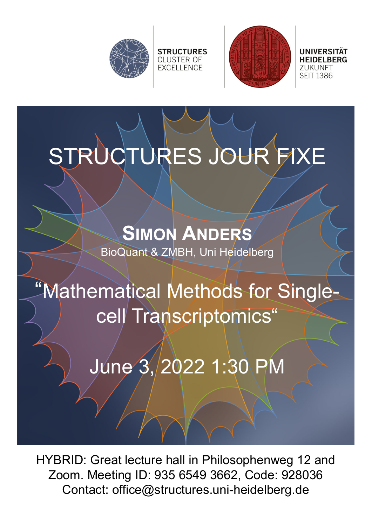



UNIVERSITÄT 71 IKI INFT **SEIT 1386** 

STRUCTURES JOUR FIXE

**STRUCTURES** 

**CLUSTER OF EXCELLENCE** 

**SIMON ANDERS** BioQuant & ZMBH, Uni Heidelberg

## "Mathematical Methods for Singlecell Transcriptomics"

June 3, 2022 1:30 PM

HYBRID: Great lecture hall in Philosophenweg 12 and Zoom. Meeting ID: 935 6549 3662, Code: 928036 Contact: office@structures.uni-heidelberg.de